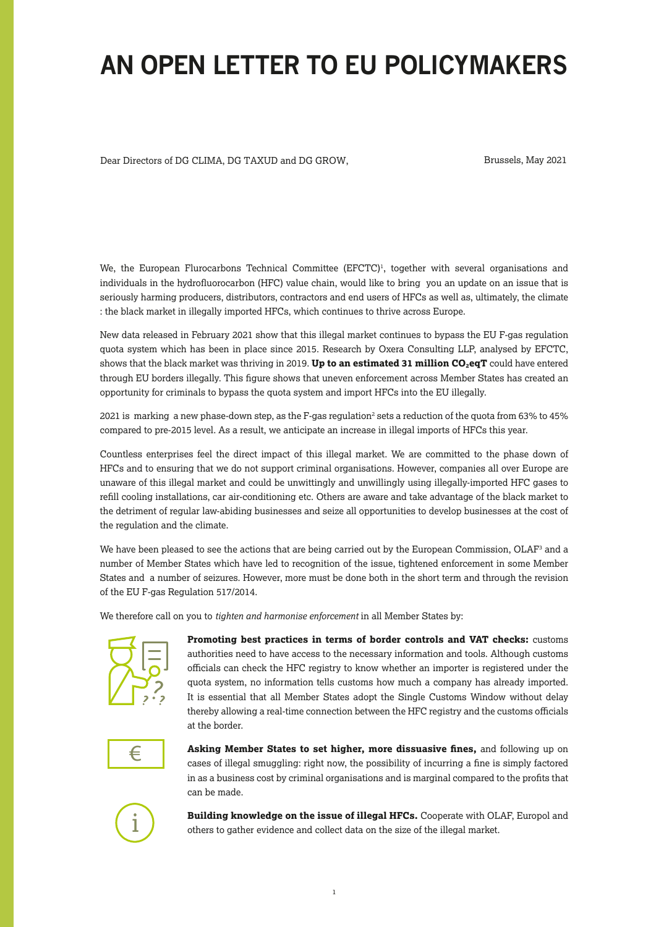## **AN OPEN LETTER TO EU POLICYMAKERS**

Dear Directors of DG CLIMA, DG TAXUD and DG GROW,

Brussels, May 2021

We, the European Flurocarbons Technical Committee ( $EFCTC$ )<sup>1</sup>, together with several organisations and individuals in the hydrofluorocarbon (HFC) value chain, would like to bring you an update on an issue that is seriously harming producers, distributors, contractors and end users of HFCs as well as, ultimately, the climate : the black market in illegally imported HFCs, which continues to thrive across Europe.

New data released in February 2021 show that this illegal market continues to bypass the EU F-gas regulation quota system which has been in place since 2015. Research by Oxera Consulting LLP, analysed by EFCTC, shows that the black market was thriving in 2019. Up to an estimated 31 million CO<sub>2</sub>eqT could have entered through EU borders illegally. This figure shows that uneven enforcement across Member States has created an opportunity for criminals to bypass the quota system and import HFCs into the EU illegally.

2021 is marking a new phase-down step, as the F-gas regulation<sup>2</sup> sets a reduction of the quota from 63% to 45% compared to pre-2015 level. As a result, we anticipate an increase in illegal imports of HFCs this year.

Countless enterprises feel the direct impact of this illegal market. We are committed to the phase down of HFCs and to ensuring that we do not support criminal organisations. However, companies all over Europe are unaware of this illegal market and could be unwittingly and unwillingly using illegally-imported HFC gases to refill cooling installations, car air-conditioning etc. Others are aware and take advantage of the black market to the detriment of regular law-abiding businesses and seize all opportunities to develop businesses at the cost of the regulation and the climate.

We have been pleased to see the actions that are being carried out by the European Commission, OLAF<sup>3</sup> and a number of Member States which have led to recognition of the issue, tightened enforcement in some Member States and a number of seizures. However, more must be done both in the short term and through the revision of the EU F-gas Regulation 517/2014.

We therefore call on you to *tighten and harmonise enforcement* in all Member States by:



**Promoting best practices in terms of border controls and VAT checks:** customs authorities need to have access to the necessary information and tools. Although customs officials can check the HFC registry to know whether an importer is registered under the quota system, no information tells customs how much a company has already imported. It is essential that all Member States adopt the Single Customs Window without delay thereby allowing a real-time connection between the HFC registry and the customs officials at the border.



**Asking Member States to set higher, more dissuasive fines,** and following up on cases of illegal smuggling: right now, the possibility of incurring a fine is simply factored in as a business cost by criminal organisations and is marginal compared to the profits that can be made.



**Building knowledge on the issue of illegal HFCs.** Cooperate with OLAF, Europol and others to gather evidence and collect data on the size of the illegal market.